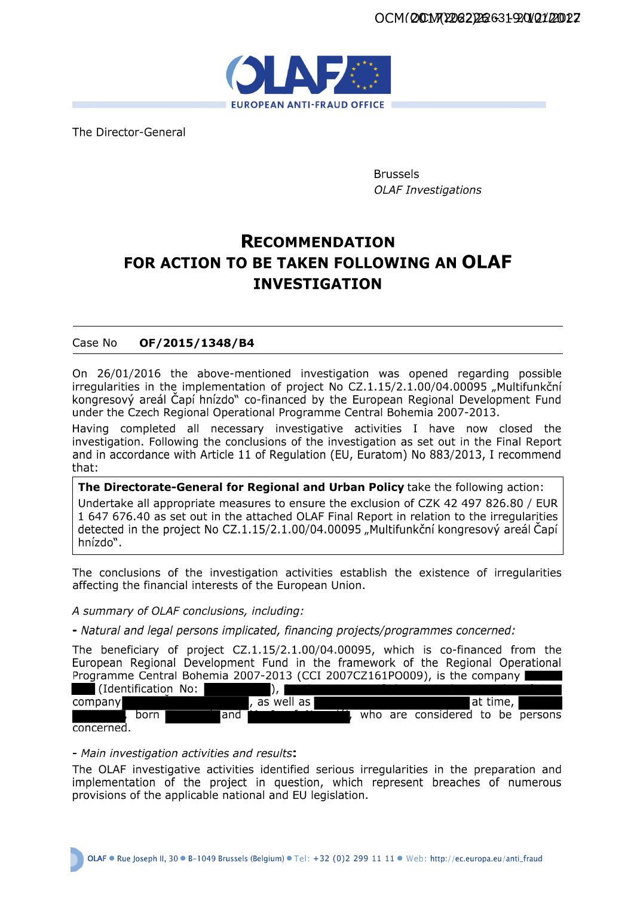

The Director-General

**Brussels OLAF Investigations** 

# **RECOMMENDATION** FOR ACTION TO BE TAKEN FOLLOWING AN OLAF **INVESTIGATION**

#### OF/2015/1348/B4 Case No

On 26/01/2016 the above-mentioned investigation was opened regarding possible irregularities in the implementation of project No CZ.1.15/2.1.00/04.00095 "Multifunkční kongresový areál Čapí hnízdo" co-financed by the European Regional Development Fund under the Czech Regional Operational Programme Central Bohemia 2007-2013.

Having completed all necessary investigative activities I have now closed the investigation. Following the conclusions of the investigation as set out in the Final Report and in accordance with Article 11 of Regulation (EU, Euratom) No 883/2013, I recommend that:

The Directorate-General for Regional and Urban Policy take the following action: Undertake all appropriate measures to ensure the exclusion of CZK 42 497 826.80 / EUR 1 647 676.40 as set out in the attached OLAF Final Report in relation to the irregularities detected in the project No CZ.1.15/2.1.00/04.00095 "Multifunkční kongresový areál Čapí hnízdo".

The conclusions of the investigation activities establish the existence of irregularities affecting the financial interests of the European Union.

A summary of OLAF conclusions, including:

- Natural and legal persons implicated, financing projects/programmes concerned:

The beneficiary of project CZ.1.15/2.1.00/04.00095, which is co-financed from the European Regional Development Fund in the framework of the Regional Operational Programme Central Bohemia 2007-2013 (CCI 2007CZ161PO009), is the company

| l (Identification No: ) |     |                               |          |                                  |  |  |  |
|-------------------------|-----|-------------------------------|----------|----------------------------------|--|--|--|
| company                 |     | $\sqrt{a}$ well as $\sqrt{a}$ | at time, |                                  |  |  |  |
| born                    | and |                               |          | who are considered to be persons |  |  |  |
| concerned.              |     |                               |          |                                  |  |  |  |

## - Main investigation activities and results:

The OLAF investigative activities identified serious irregularities in the preparation and implementation of the project in question, which represent breaches of numerous provisions of the applicable national and EU legislation.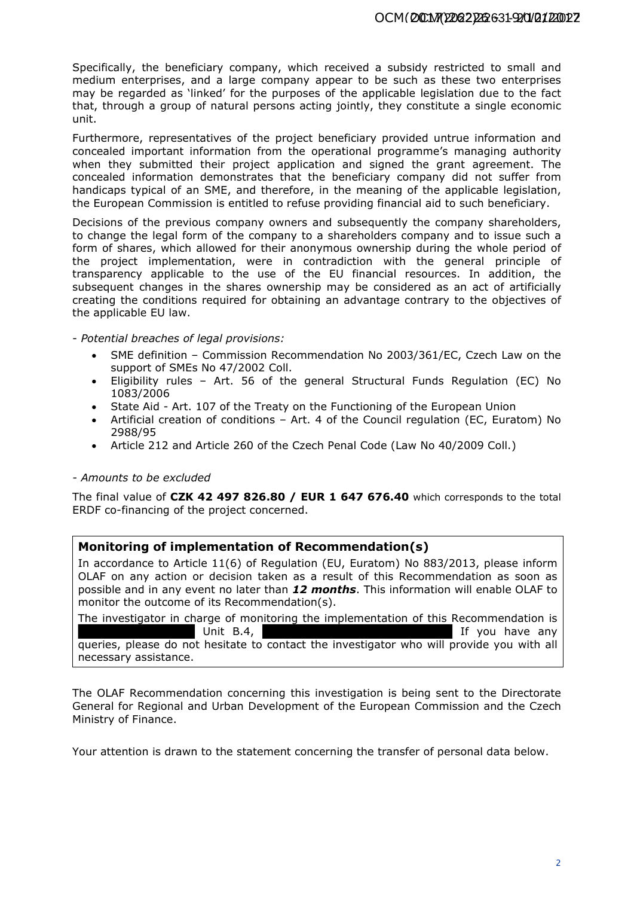Specifically, the beneficiary company, which received a subsidy restricted to small and medium enterprises, and a large company appear to be such as these two enterprises may be regarded as 'linked' for the purposes of the applicable legislation due to the fact that, through a group of natural persons acting jointly, they constitute a single economic unit.

Furthermore, representatives of the project beneficiary provided untrue information and concealed important information from the operational programme's managing authority when they submitted their project application and signed the grant agreement. The concealed information demonstrates that the beneficiary company did not suffer from handicaps typical of an SME, and therefore, in the meaning of the applicable legislation, the European Commission is entitled to refuse providing financial aid to such beneficiary.

Decisions of the previous company owners and subsequently the company shareholders, to change the legal form of the company to a shareholders company and to issue such a form of shares, which allowed for their anonymous ownership during the whole period of the project implementation, were in contradiction with the general principle of transparency applicable to the use of the EU financial resources. In addition, the subsequent changes in the shares ownership may be considered as an act of artificially creating the conditions required for obtaining an advantage contrary to the objectives of the applicable EU law.

- *Potential breaches of legal provisions:*

- SME definition Commission Recommendation No 2003/361/EC, Czech Law on the support of SMEs No 47/2002 Coll.
- Eligibility rules Art. 56 of the general Structural Funds Regulation (EC) No 1083/2006
- State Aid Art. 107 of the Treaty on the Functioning of the European Union
- Artificial creation of conditions Art. 4 of the Council regulation (EC, Euratom) No 2988/95
- Article 212 and Article 260 of the Czech Penal Code (Law No 40/2009 Coll.)

## *- Amounts to be excluded*

The final value of **CZK 42 497 826.80 / EUR 1 647 676.40** which corresponds to the total ERDF co-financing of the project concerned.

# **Monitoring of implementation of Recommendation(s)**

In accordance to Article 11(6) of Regulation (EU, Euratom) No 883/2013, please inform OLAF on any action or decision taken as a result of this Recommendation as soon as possible and in any event no later than *12 months*. This information will enable OLAF to monitor the outcome of its Recommendation(s).

The investigator in charge of monitoring the implementation of this Recommendation is Unit B.4, queries, please do not hesitate to contact the investigator who will provide you with all necessary assistance.

The OLAF Recommendation concerning this investigation is being sent to the Directorate General for Regional and Urban Development of the European Commission and the Czech Ministry of Finance.

Your attention is drawn to the statement concerning the transfer of personal data below.